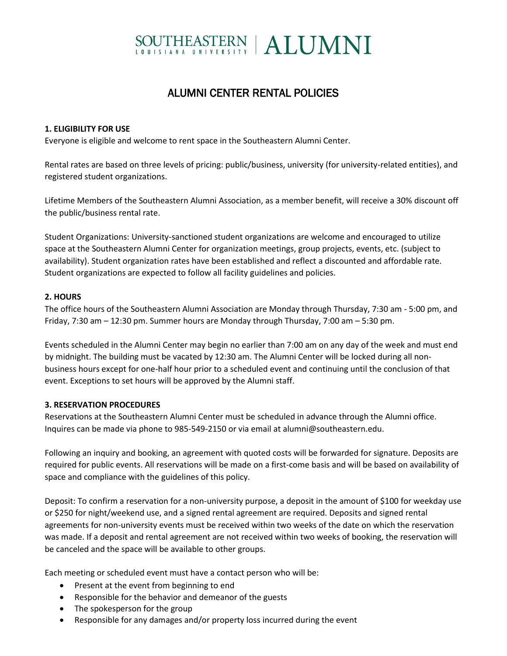# SOUTHEASTERN | ALUMNI

# ALUMNI CENTER RENTAL POLICIES

# **1. ELIGIBILITY FOR USE**

Everyone is eligible and welcome to rent space in the Southeastern Alumni Center.

Rental rates are based on three levels of pricing: public/business, university (for university-related entities), and registered student organizations.

Lifetime Members of the Southeastern Alumni Association, as a member benefit, will receive a 30% discount off the public/business rental rate.

Student Organizations: University-sanctioned student organizations are welcome and encouraged to utilize space at the Southeastern Alumni Center for organization meetings, group projects, events, etc. (subject to availability). Student organization rates have been established and reflect a discounted and affordable rate. Student organizations are expected to follow all facility guidelines and policies.

# **2. HOURS**

The office hours of the Southeastern Alumni Association are Monday through Thursday, 7:30 am - 5:00 pm, and Friday, 7:30 am – 12:30 pm. Summer hours are Monday through Thursday, 7:00 am – 5:30 pm.

Events scheduled in the Alumni Center may begin no earlier than 7:00 am on any day of the week and must end by midnight. The building must be vacated by 12:30 am. The Alumni Center will be locked during all nonbusiness hours except for one-half hour prior to a scheduled event and continuing until the conclusion of that event. Exceptions to set hours will be approved by the Alumni staff.

#### **3. RESERVATION PROCEDURES**

Reservations at the Southeastern Alumni Center must be scheduled in advance through the Alumni office. Inquires can be made via phone to 985-549-2150 or via email at alumni@southeastern.edu.

Following an inquiry and booking, an agreement with quoted costs will be forwarded for signature. Deposits are required for public events. All reservations will be made on a first-come basis and will be based on availability of space and compliance with the guidelines of this policy.

Deposit: To confirm a reservation for a non-university purpose, a deposit in the amount of \$100 for weekday use or \$250 for night/weekend use, and a signed rental agreement are required. Deposits and signed rental agreements for non-university events must be received within two weeks of the date on which the reservation was made. If a deposit and rental agreement are not received within two weeks of booking, the reservation will be canceled and the space will be available to other groups.

Each meeting or scheduled event must have a contact person who will be:

- Present at the event from beginning to end
- Responsible for the behavior and demeanor of the guests
- The spokesperson for the group
- Responsible for any damages and/or property loss incurred during the event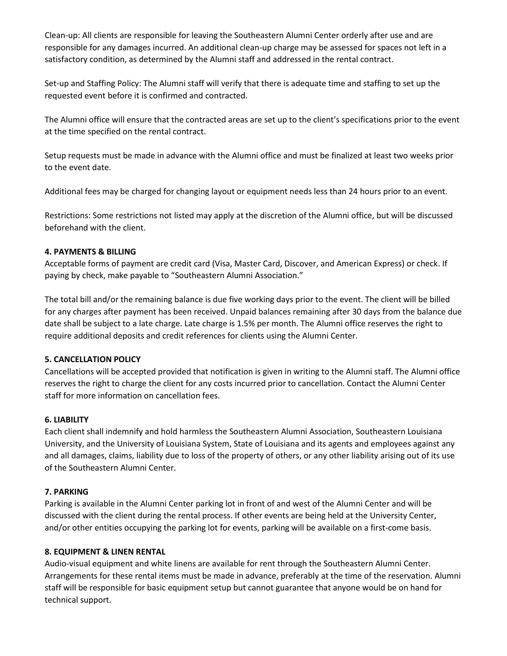Clean-up: All clients are responsible for leaving the Southeastern Alumni Center orderly after use and are responsible for any damages incurred. An additional clean-up charge may be assessed for spaces not left in a satisfactory condition, as determined by the Alumni staff and addressed in the rental contract.

Set-up and Staffing Policy: The Alumni staff will verify that there is adequate time and staffing to set up the requested event before it is confirmed and contracted.

The Alumni office will ensure that the contracted areas are set up to the client's specifications prior to the event at the time specified on the rental contract.

Setup requests must be made in advance with the Alumni office and must be finalized at least two weeks prior to the event date.

Additional fees may be charged for changing layout or equipment needs less than 24 hours prior to an event.

Restrictions: Some restrictions not listed may apply at the discretion of the Alumni office, but will be discussed beforehand with the client.

# **4. PAYMENTS & BILLING**

Acceptable forms of payment are credit card (Visa, Master Card, Discover, and American Express) or check. If paying by check, make payable to "Southeastern Alumni Association."

The total bill and/or the remaining balance is due five working days prior to the event. The client will be billed for any charges after payment has been received. Unpaid balances remaining after 30 days from the balance due date shall be subject to a late charge. Late charge is 1.5% per month. The Alumni office reserves the right to require additional deposits and credit references for clients using the Alumni Center.

#### **5. CANCELLATION POLICY**

Cancellations will be accepted provided that notification is given in writing to the Alumni staff. The Alumni office reserves the right to charge the client for any costs incurred prior to cancellation. Contact the Alumni Center staff for more information on cancellation fees.

#### **6. LIABILITY**

Each client shall indemnify and hold harmless the Southeastern Alumni Association, Southeastern Louisiana University, and the University of Louisiana System, State of Louisiana and its agents and employees against any and all damages, claims, liability due to loss of the property of others, or any other liability arising out of its use of the Southeastern Alumni Center.

#### **7. PARKING**

Parking is available in the Alumni Center parking lot in front of and west of the Alumni Center and will be discussed with the client during the rental process. If other events are being held at the University Center, and/or other entities occupying the parking lot for events, parking will be available on a first-come basis.

#### **8. EQUIPMENT & LINEN RENTAL**

Audio-visual equipment and white linens are available for rent through the Southeastern Alumni Center. Arrangements for these rental items must be made in advance, preferably at the time of the reservation. Alumni staff will be responsible for basic equipment setup but cannot guarantee that anyone would be on hand for technical support.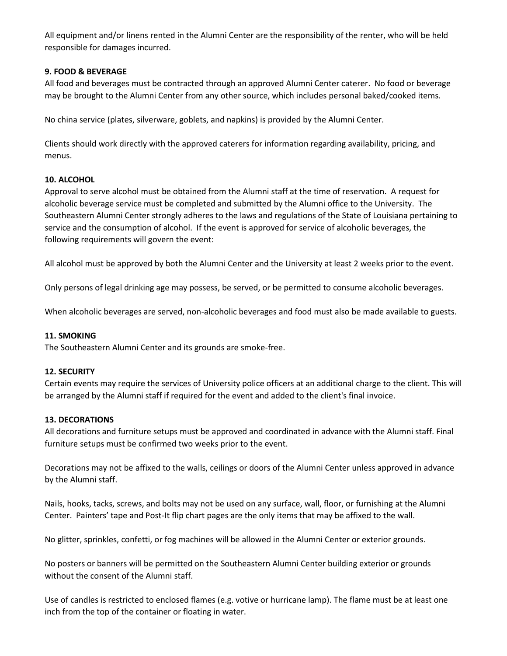All equipment and/or linens rented in the Alumni Center are the responsibility of the renter, who will be held responsible for damages incurred.

# **9. FOOD & BEVERAGE**

All food and beverages must be contracted through an approved Alumni Center caterer. No food or beverage may be brought to the Alumni Center from any other source, which includes personal baked/cooked items.

No china service (plates, silverware, goblets, and napkins) is provided by the Alumni Center.

Clients should work directly with the approved caterers for information regarding availability, pricing, and menus.

# **10. ALCOHOL**

Approval to serve alcohol must be obtained from the Alumni staff at the time of reservation. A request for alcoholic beverage service must be completed and submitted by the Alumni office to the University. The Southeastern Alumni Center strongly adheres to the laws and regulations of the State of Louisiana pertaining to service and the consumption of alcohol. If the event is approved for service of alcoholic beverages, the following requirements will govern the event:

All alcohol must be approved by both the Alumni Center and the University at least 2 weeks prior to the event.

Only persons of legal drinking age may possess, be served, or be permitted to consume alcoholic beverages.

When alcoholic beverages are served, non-alcoholic beverages and food must also be made available to guests.

#### **11. SMOKING**

The Southeastern Alumni Center and its grounds are smoke-free.

#### **12. SECURITY**

Certain events may require the services of University police officers at an additional charge to the client. This will be arranged by the Alumni staff if required for the event and added to the client's final invoice.

#### **13. DECORATIONS**

All decorations and furniture setups must be approved and coordinated in advance with the Alumni staff. Final furniture setups must be confirmed two weeks prior to the event.

Decorations may not be affixed to the walls, ceilings or doors of the Alumni Center unless approved in advance by the Alumni staff.

Nails, hooks, tacks, screws, and bolts may not be used on any surface, wall, floor, or furnishing at the Alumni Center. Painters' tape and Post-It flip chart pages are the only items that may be affixed to the wall.

No glitter, sprinkles, confetti, or fog machines will be allowed in the Alumni Center or exterior grounds.

No posters or banners will be permitted on the Southeastern Alumni Center building exterior or grounds without the consent of the Alumni staff.

Use of candles is restricted to enclosed flames (e.g. votive or hurricane lamp). The flame must be at least one inch from the top of the container or floating in water.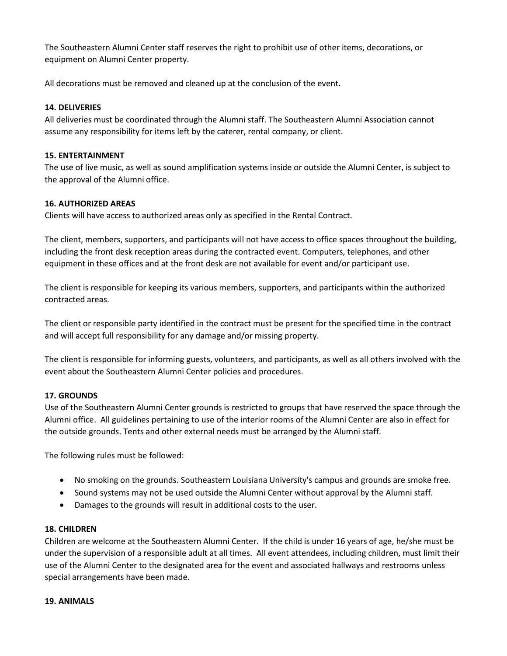The Southeastern Alumni Center staff reserves the right to prohibit use of other items, decorations, or equipment on Alumni Center property.

All decorations must be removed and cleaned up at the conclusion of the event.

# **14. DELIVERIES**

All deliveries must be coordinated through the Alumni staff. The Southeastern Alumni Association cannot assume any responsibility for items left by the caterer, rental company, or client.

#### **15. ENTERTAINMENT**

The use of live music, as well as sound amplification systems inside or outside the Alumni Center, is subject to the approval of the Alumni office.

# **16. AUTHORIZED AREAS**

Clients will have access to authorized areas only as specified in the Rental Contract.

The client, members, supporters, and participants will not have access to office spaces throughout the building, including the front desk reception areas during the contracted event. Computers, telephones, and other equipment in these offices and at the front desk are not available for event and/or participant use.

The client is responsible for keeping its various members, supporters, and participants within the authorized contracted areas.

The client or responsible party identified in the contract must be present for the specified time in the contract and will accept full responsibility for any damage and/or missing property.

The client is responsible for informing guests, volunteers, and participants, as well as all others involved with the event about the Southeastern Alumni Center policies and procedures.

#### **17. GROUNDS**

Use of the Southeastern Alumni Center grounds is restricted to groups that have reserved the space through the Alumni office. All guidelines pertaining to use of the interior rooms of the Alumni Center are also in effect for the outside grounds. Tents and other external needs must be arranged by the Alumni staff.

The following rules must be followed:

- No smoking on the grounds. Southeastern Louisiana University's campus and grounds are smoke free.
- Sound systems may not be used outside the Alumni Center without approval by the Alumni staff.
- Damages to the grounds will result in additional costs to the user.

#### **18. CHILDREN**

Children are welcome at the Southeastern Alumni Center. If the child is under 16 years of age, he/she must be under the supervision of a responsible adult at all times. All event attendees, including children, must limit their use of the Alumni Center to the designated area for the event and associated hallways and restrooms unless special arrangements have been made.

#### **19. ANIMALS**